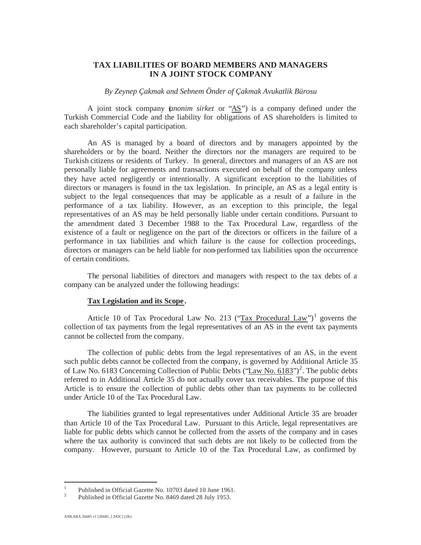# **TAX LIABILITIES OF BOARD MEMBERS AND MANAGERS IN A JOINT STOCK COMPANY**

### *By Zeynep Çakmak and Sebnem Önder of Çakmak Avukatlik Bürosu*

A joint stock company (*anonim sirket* or "AS") is a company defined under the Turkish Commercial Code and the liability for obligations of AS shareholders is limited to each shareholder's capital participation.

An AS is managed by a board of directors and by managers appointed by the shareholders or by the board. Neither the directors nor the managers are required to be Turkish citizens or residents of Turkey. In general, directors and managers of an AS are not personally liable for agreements and transactions executed on behalf of the company unless they have acted negligently or intentionally. A significant exception to the liabilities of directors or managers is found in the tax legislation. In principle, an AS as a legal entity is subject to the legal consequences that may be applicable as a result of a failure in the performance of a tax liability. However, as an exception to this principle, the legal representatives of an AS may be held personally liable under certain conditions. Pursuant to the amendment dated 3 December 1988 to the Tax Procedural Law, regardless of the existence of a fault or negligence on the part of the directors or officers in the failure of a performance in tax liabilities and which failure is the cause for collection proceedings, directors or managers can be held liable for non-performed tax liabilities upon the occurrence of certain conditions.

The personal liabilities of directors and managers with respect to the tax debts of a company can be analyzed under the following headings:

#### **Tax Legislation and its Scope .**

Article 10 of Tax Procedural Law No. 213 ("Tax Procedural Law")<sup>1</sup> governs the collection of tax payments from the legal representatives of an AS in the event tax payments cannot be collected from the company.

The collection of public debts from the legal representatives of an AS, in the event such public debts cannot be collected from the company, is governed by Additional Article 35 of Law No. 6183 Concerning Collection of Public Debts  $("Law No. 6183")^2$ . The public debts referred to in Additional Article 35 do not actually cover tax receivables. The purpose of this Article is to ensure the collection of public debts other than tax payments to be collected under Article 10 of the Tax Procedural Law.

The liabilities granted to legal representatives under Additional Article 35 are broader than Article 10 of the Tax Procedural Law. Pursuant to this Article, legal representatives are liable for public debts which cannot be collected from the assets of the company and in cases where the tax authority is convinced that such debts are not likely to be collected from the company. However, pursuant to Article 10 of the Tax Procedural Law, as confirmed by

<sup>&</sup>lt;sup>1</sup> Published in Official Gazette No. 10703 dated 10 June 1961.<br><sup>2</sup> Published in Official Gazette No. 8469 dated 28 July 1953.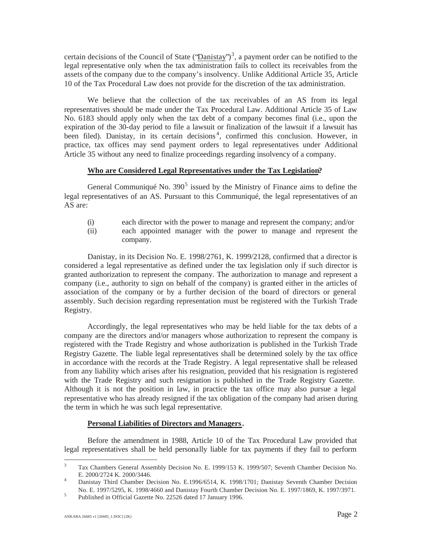certain decisions of the Council of State (' $\Delta$ **n**istay')<sup>3</sup>, a payment order can be notified to the legal representative only when the tax administration fails to collect its receivables from the assets of the company due to the company's insolvency. Unlike Additional Article 35, Article 10 of the Tax Procedural Law does not provide for the discretion of the tax administration.

We believe that the collection of the tax receivables of an AS from its legal representatives should be made under the Tax Procedural Law. Additional Article 35 of Law No. 6183 should apply only when the tax debt of a company becomes final (i.e., upon the expiration of the 30-day period to file a lawsuit or finalization of the lawsuit if a lawsuit has been filed). Danistay, in its certain decisions<sup>4</sup>, confirmed this conclusion. However, in practice, tax offices may send payment orders to legal representatives under Additional Article 35 without any need to finalize proceedings regarding insolvency of a company.

### **Who are Considered Legal Representatives under the Tax Legislation?**

General Communiqué No.  $390^5$  issued by the Ministry of Finance aims to define the legal representatives of an AS. Pursuant to this Communiqué, the legal representatives of an AS are:

- (i) each director with the power to manage and represent the company; and/or
- (ii) each appointed manager with the power to manage and represent the company.

Danistay, in its Decision No. E. 1998/2761, K. 1999/2128, confirmed that a director is considered a legal representative as defined under the tax legislation only if such director is granted authorization to represent the company. The authorization to manage and represent a company (i.e., authority to sign on behalf of the company) is granted either in the articles of association of the company or by a further decision of the board of directors or general assembly. Such decision regarding representation must be registered with the Turkish Trade Registry.

Accordingly, the legal representatives who may be held liable for the tax debts of a company are the directors and/or managers whose authorization to represent the company is registered with the Trade Registry and whose authorization is published in the Turkish Trade Registry Gazette. The liable legal representatives shall be determined solely by the tax office in accordance with the records at the Trade Registry. A legal representative shall be released from any liability which arises after his resignation, provided that his resignation is registered with the Trade Registry and such resignation is published in the Trade Registry Gazette. Although it is not the position in law, in practice the tax office may also pursue a legal representative who has already resigned if the tax obligation of the company had arisen during the term in which he was such legal representative.

## **Personal Liabilities of Directors and Managers.**

Before the amendment in 1988, Article 10 of the Tax Procedural Law provided that legal representatives shall be held personally liable for tax payments if they fail to perform

<sup>&</sup>lt;sup>3</sup> Tax Chambers General Assembly Decision No. E. 1999/153 K. 1999/507; Seventh Chamber Decision No. E. 2000/2724 K. 2000/3446. <sup>4</sup> Danistay Third Chamber Decision No. E.1996/6514, K. 1998/1701; Danistay Seventh Chamber Decision

No. E. 1997/5295, K. 1998/4660 and Danistay Fourth Chamber Decision No. E. 1997/1869, K. 1997/3971. <sup>5</sup> Published in Official Gazette No. 22526 dated 17 January 1996.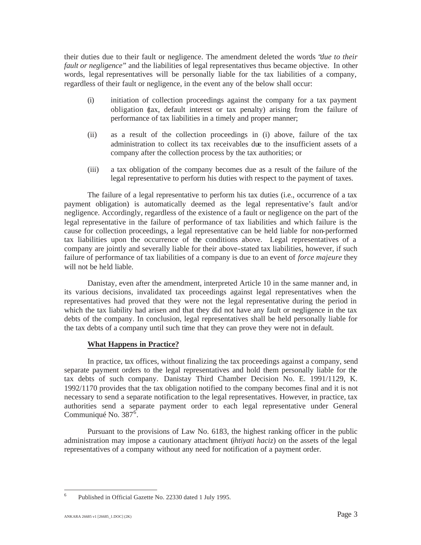their duties due to their fault or negligence. The amendment deleted the words "*due to their fault or negligence*" and the liabilities of legal representatives thus became objective. In other words, legal representatives will be personally liable for the tax liabilities of a company, regardless of their fault or negligence, in the event any of the below shall occur:

- (i) initiation of collection proceedings against the company for a tax payment obligation (tax, default interest or tax penalty) arising from the failure of performance of tax liabilities in a timely and proper manner;
- (ii) as a result of the collection proceedings in (i) above, failure of the tax administration to collect its tax receivables due to the insufficient assets of a company after the collection process by the tax authorities; or
- (iii) a tax obligation of the company becomes due as a result of the failure of the legal representative to perform his duties with respect to the payment of taxes.

The failure of a legal representative to perform his tax duties (i.e., occurrence of a tax payment obligation) is automatically deemed as the legal representative's fault and/or negligence. Accordingly, regardless of the existence of a fault or negligence on the part of the legal representative in the failure of performance of tax liabilities and which failure is the cause for collection proceedings, a legal representative can be held liable for non-performed tax liabilities upon the occurrence of the conditions above. Legal representatives of a company are jointly and severally liable for their above-stated tax liabilities, however, if such failure of performance of tax liabilities of a company is due to an event of *force majeure* they will not be held liable.

Danistay, even after the amendment, interpreted Article 10 in the same manner and, in its various decisions, invalidated tax proceedings against legal representatives when the representatives had proved that they were not the legal representative during the period in which the tax liability had arisen and that they did not have any fault or negligence in the tax debts of the company. In conclusion, legal representatives shall be held personally liable for the tax debts of a company until such time that they can prove they were not in default.

## **What Happens in Practice?**

In practice, tax offices, without finalizing the tax proceedings against a company, send separate payment orders to the legal representatives and hold them personally liable for the tax debts of such company. Danistay Third Chamber Decision No. E. 1991/1129, K. 1992/1170 provides that the tax obligation notified to the company becomes final and it is not necessary to send a separate notification to the legal representatives. However, in practice, tax authorities send a separate payment order to each legal representative under General Communiqué No. 387<sup>6</sup>.

Pursuant to the provisions of Law No. 6183, the highest ranking officer in the public administration may impose a cautionary attachment (*ihtiyati haciz*) on the assets of the legal representatives of a company without any need for notification of a payment order.

<sup>6</sup> Published in Official Gazette No. 22330 dated 1 July 1995.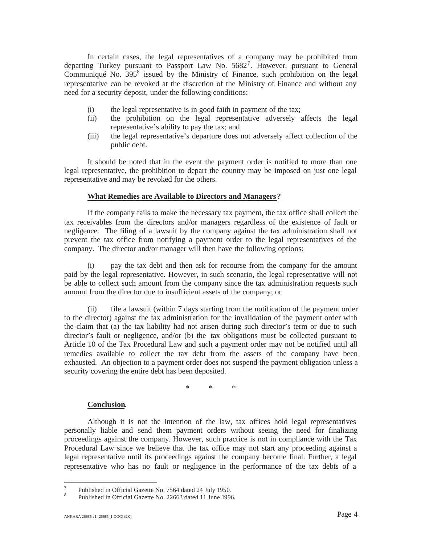In certain cases, the legal representatives of a company may be prohibited from departing Turkey pursuant to Passport Law No.  $5682^7$ . However, pursuant to General Communiqué No. 395<sup>8</sup> issued by the Ministry of Finance, such prohibition on the legal representative can be revoked at the discretion of the Ministry of Finance and without any need for a security deposit, under the following conditions:

- (i) the legal representative is in good faith in payment of the tax;
- (ii) the prohibition on the legal representative adversely affects the legal representative's ability to pay the tax; and
- (iii) the legal representative's departure does not adversely affect collection of the public debt.

It should be noted that in the event the payment order is notified to more than one legal representative, the prohibition to depart the country may be imposed on just one legal representative and may be revoked for the others.

#### **What Remedies are Available to Directors and Managers?**

If the company fails to make the necessary tax payment, the tax office shall collect the tax receivables from the directors and/or managers regardless of the existence of fault or negligence. The filing of a lawsuit by the company against the tax administration shall not prevent the tax office from notifying a payment order to the legal representatives of the company. The director and/or manager will then have the following options:

(i) pay the tax debt and then ask for recourse from the company for the amount paid by the legal representative. However, in such scenario, the legal representative will not be able to collect such amount from the company since the tax administration requests such amount from the director due to insufficient assets of the company; or

(ii) file a lawsuit (within 7 days starting from the notification of the payment order to the director) against the tax administration for the invalidation of the payment order with the claim that (a) the tax liability had not arisen during such director's term or due to such director's fault or negligence, and/or (b) the tax obligations must be collected pursuant to Article 10 of the Tax Procedural Law and such a payment order may not be notified until all remedies available to collect the tax debt from the assets of the company have been exhausted. An objection to a payment order does not suspend the payment obligation unless a security covering the entire debt has been deposited.

\*\*\*

#### **Conclusion.**

Although it is not the intention of the law, tax offices hold legal representatives personally liable and send them payment orders without seeing the need for finalizing proceedings against the company. However, such practice is not in compliance with the Tax Procedural Law since we believe that the tax office may not start any proceeding against a legal representative until its proceedings against the company become final. Further, a legal representative who has no fault or negligence in the performance of the tax debts of a

<sup>&</sup>lt;sup>7</sup> Published in Official Gazette No. 7564 dated 24 July 1950.<br><sup>8</sup> Published in Official Gazette No. 22663 dated 11 June 1996.